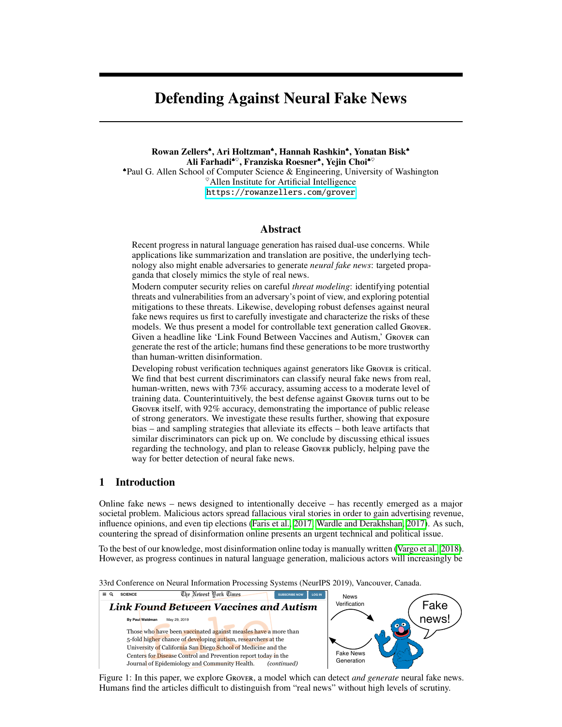# <span id="page-0-1"></span>Defending Against Neural Fake News

Rowan Zellers<sup>\*</sup>, Ari Holtzman<sup>\*</sup>, Hannah Rashkin<sup>\*</sup>, Yonatan Bisk<sup>\*</sup> Ali Farhadi<sup>\*</sup>, Franziska Roesner<sup>\*</sup>, Yejin Choi<sup>\*</sup> Paul G. Allen School of Computer Science & Engineering, University of Washington  $^{\circ}$ Allen Institute for Artificial Intelligence <https://rowanzellers.com/grover>

## Abstract

<span id="page-0-2"></span>Recent progress in natural language generation has raised dual-use concerns. While applications like summarization and translation are positive, the underlying technology also might enable adversaries to generate *neural fake news*: targeted propaganda that closely mimics the style of real news.

<span id="page-0-4"></span>Modern computer security relies on careful *threat modeling*: identifying potential threats and vulnerabilities from an adversary's point of view, and exploring potential mitigations to these threats. Likewise, developing robust defenses against neural fake news requires us first to carefully investigate and characterize the risks of these models. We thus present a model for controllable text generation called Grover. Given a headline like 'Link Found Between Vaccines and Autism,' Grover can generate the rest of the article; humans find these generations to be more trustworthy than human-written disinformation.

Developing robust verification techniques against generators like Grover is critical. We find that best current discriminators can classify neural fake news from real, human-written, news with 73% accuracy, assuming access to a moderate level of training data. Counterintuitively, the best defense against Grover turns out to be Grover itself, with 92% accuracy, demonstrating the importance of public release of strong generators. We investigate these results further, showing that exposure bias – and sampling strategies that alleviate its effects – both leave artifacts that similar discriminators can pick up on. We conclude by discussing ethical issues regarding the technology, and plan to release Grover publicly, helping pave the way for better detection of neural fake news.

## <span id="page-0-5"></span>1 Introduction

<span id="page-0-3"></span>Online fake news – news designed to intentionally deceive – has recently emerged as a major societal problem. Malicious actors spread fallacious viral stories in order to gain advertising revenue, influence opinions, and even tip elections (Faris et al.,  $2017$ ; Wardle and Derakhshan,  $2017$ ). As such, countering the spread of disinformation online presents an urgent technical and political issue.

To the best of our knowledge, most disinformation online today is manually written [\(Vargo et al., 2018\)](#page-11-1). However, as progress continues in natural language generation, malicious actors will increasingly be

33rd Conference on Neural Information Processing Systems (NeurIPS 2019), Vancouver, Canada.

<span id="page-0-0"></span>

Figure 1: In this paper, we explore Grover, a model which can detect *and generate* neural fake news. Humans find the articles difficult to distinguish from "real news" without high levels of scrutiny.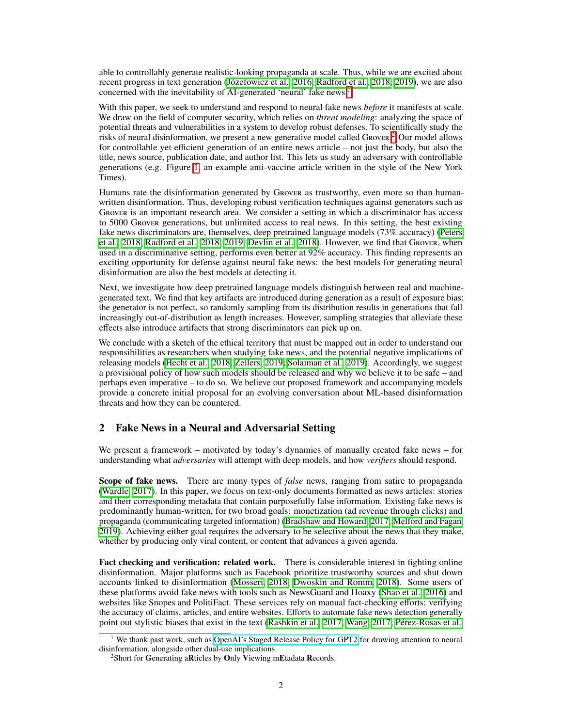able to controllably generate realistic-looking propaganda at scale. Thus, while we are excited about recent progress in text generation (*Józefowicz et al.*, 2016; [Radford et al., 2018;](#page-10-1) [2019\)](#page-10-2), we are also concerned with the inevitability of AI-generated 'neural' fake news.<sup>[1](#page-1-0)1</sup>

With this paper, we seek to understand and respond to neural fake news *before* it manifests at scale. We draw on the field of computer security, which relies on *threat modeling*: analyzing the space of potential threats and vulnerabilities in a system to develop robust defenses. To scientifically study the risks of neural disinformation, we present a new generative model called Grover.<sup>[[2](#page-1-1)]</sup> Our model allows for controllable yet efficient generation of an entire news article  $-$  not just the body, but also the title, news source, publication date, and author list. This lets us study an adversary with controllable generations (e.g. Figure  $\overline{1}$ , an example anti-vaccine article written in the style of the New York Times).

Humans rate the disinformation generated by Grover as trustworthy, even more so than humanwritten disinformation. Thus, developing robust verification techniques against generators such as Grover is an important research area. We consider a setting in which a discriminator has access to 5000 Grover generations, but unlimited access to real news. In this setting, the best existing fake news discriminators are, themselves, deep pretrained language models (73% accuracy) [\(Peters](#page-10-3) [et al., 2018;](#page-10-3) [Radford et al., 2018;](#page-10-1) [2019;](#page-10-2) [Devlin et al., 2018\)](#page-9-1). However, we find that Grover, when used in a discriminative setting, performs even better at 92% accuracy. This finding represents an exciting opportunity for defense against neural fake news: the best models for generating neural disinformation are also the best models at detecting it.

Next, we investigate how deep pretrained language models distinguish between real and machinegenerated text. We find that key artifacts are introduced during generation as a result of exposure bias: the generator is not perfect, so randomly sampling from its distribution results in generations that fall increasingly out-of-distribution as length increases. However, sampling strategies that alleviate these effects also introduce artifacts that strong discriminators can pick up on.

We conclude with a sketch of the ethical territory that must be mapped out in order to understand our responsibilities as researchers when studying fake news, and the potential negative implications of releasing models [\(Hecht et al., 2018;](#page-9-2) [Zellers, 2019;](#page-11-2) [Solaiman et al., 2019\)](#page-10-4). Accordingly, we suggest a provisional policy of how such models should be released and why we believe it to be safe – and perhaps even imperative – to do so. We believe our proposed framework and accompanying models provide a concrete initial proposal for an evolving conversation about ML-based disinformation threats and how they can be countered.

## 2 Fake News in a Neural and Adversarial Setting

We present a framework – motivated by today's dynamics of manually created fake news – for understanding what *adversaries* will attempt with deep models, and how *verifiers* should respond.

Scope of fake news. There are many types of *false* news, ranging from satire to propaganda  $\alpha$  [\(Wardle, 2017\)](#page-11-3). In this paper, we focus on text-only documents formatted as news articles: stories and their corresponding metadata that contain purposefully false information. Existing fake news is predominantly human-written, for two broad goals: monetization (ad revenue through clicks) and propaganda (communicating targeted information) [\(Bradshaw and Howard, 2017;](#page-9-3) [Melford and Fagan,](#page-10-5) [2019\)](#page-10-5). Achieving either goal requires the adversary to be selective about the news that they make, whether by producing only viral content, or content that advances a given agenda.

Fact checking and verification: related work. There is considerable interest in fighting online disinformation. Major platforms such as Facebook prioritize trustworthy sources and shut down accounts linked to disinformation [\(Mosseri, 2018;](#page-10-6) [Dwoskin and Romm, 2018\)](#page-9-4). Some users of these platforms avoid fake news with tools such as NewsGuard and Hoaxy [\(Shao et al., 2016\)](#page-10-7) and websites like Snopes and PolitiFact. These services rely on manual fact-checking efforts: verifying the accuracy of claims, articles, and entire websites. Efforts to automate fake news detection generally point out stylistic biases that exist in the text [\(Rashkin et al., 2017;](#page-10-8) [Wang, 2017;](#page-11-4) [Pérez-Rosas et al.,](#page-10-9)

<span id="page-1-0"></span><sup>&</sup>lt;sup>1</sup> We thank past work, such as [OpenAI's Staged Release Policy for GPT2](https://openai.com/blog/better-language-models/) for drawing attention to neural disinformation, alongside other dual-use implications.

<span id="page-1-1"></span><sup>&</sup>lt;sup>2</sup>Short for Generating aRticles by Only Viewing mEtadata Records.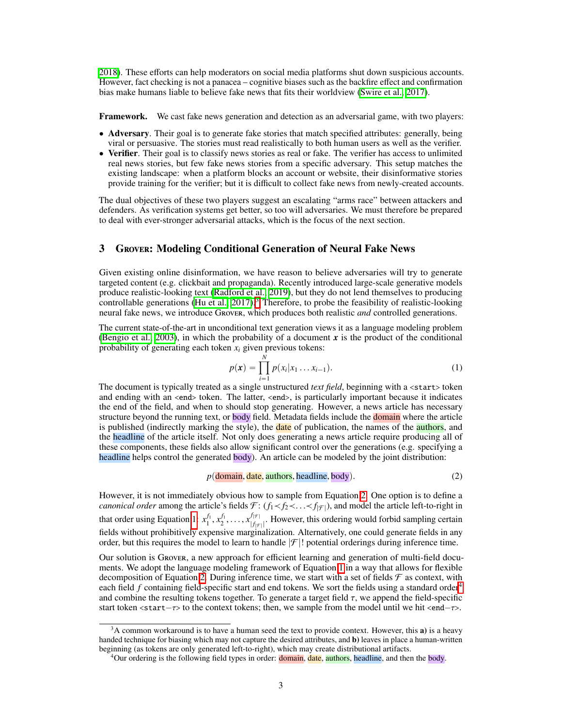**2018**). These efforts can help moderators on social media platforms shut down suspicious accounts. However, fact checking is not a panacea – cognitive biases such as the backfire effect and confirmation bias make humans liable to believe fake news that fits their worldview [\(Swire et al., 2017\)](#page-10-10).

Framework. We cast fake news generation and detection as an adversarial game, with two players:

- Adversary. Their goal is to generate fake stories that match specified attributes: generally, being viral or persuasive. The stories must read realistically to both human users as well as the verifier.
- Verifier. Their goal is to classify news stories as real or fake. The verifier has access to unlimited real news stories, but few fake news stories from a specific adversary. This setup matches the existing landscape: when a platform blocks an account or website, their disinformative stories provide training for the verifier; but it is difficult to collect fake news from newly-created accounts.

The dual objectives of these two players suggest an escalating "arms race" between attackers and defenders. As verification systems get better, so too will adversaries. We must therefore be prepared to deal with ever-stronger adversarial attacks, which is the focus of the next section.

## 3 Grover: Modeling Conditional Generation of Neural Fake News

Given existing online disinformation, we have reason to believe adversaries will try to generate targeted content (e.g. clickbait and propaganda). Recently introduced large-scale generative models produce realistic-looking text [\(Radford et al., 2019\)](#page-10-2), but they do not lend themselves to producing controllable generations (Hu et al.,  $[2017]$ .) Therefore, to probe the feasibility of realistic-looking neural fake news, we introduce Grover, which produces both realistic *and* controlled generations.

The current state-of-the-art in unconditional text generation views it as a language modeling problem **(Bengio et al.,**  $[2003]$ **)**, in which the probability of a document x is the product of the conditional probability of generating each token *xi* given previous tokens:

<span id="page-2-2"></span><span id="page-2-1"></span>
$$
p(\mathbf{x}) = \prod_{i=1}^{N} p(x_i | x_1 \dots x_{i-1}).
$$
 (1)

*i*"1 The document is typically treated as a single unstructured *text field*, beginning with a <start> token and ending with an <end> token. The latter, <end>, is particularly important because it indicates the end of the field, and when to should stop generating. However, a news article has necessary structure beyond the running text, or body field. Metadata fields include the domain where the article is published (indirectly marking the style), the **date** of publication, the names of the **authors**, and the headline of the article itself. Not only does generating a news article require producing all of these components, these fields also allow significant control over the generations (e.g. specifying a headline helps control the generated body). An article can be modeled by the joint distribution:

 $p(\text{domain}, \text{date}, \text{authors}, \text{headline}, \text{body})$ . (2)

However, it is not immediately obvious how to sample from Equation  $\boxed{2}$ . One option is to define a *canonical order* among the article's fields  $\mathcal{F}$ :  $(f_1\lt f_2\lt \ldots \lt f_{|\mathcal{F}|})$ , and model the article left-to-right in that order using Equation  $\left|1\right| x_1^{f_1}, x_2^{f_1}, \ldots, x_{|f|_F}^{f_{|\mathcal{F}|}}$  $\frac{f_{\vert f \vert}}{f_{\vert f \vert}}$ . However, this ordering would forbid sampling certain fields without prohibitively expensive marginalization. Alternatively, one could generate fields in any order, but this requires the model to learn to handle  $|\mathcal{F}|$ ! potential orderings during inference time.

Our solution is Grover, a new approach for efficient learning and generation of multi-field documents. We adopt the language modeling framework of Equation  $\prod$  in a way that allows for flexible decomposition of Equation [2.](#page-2-1) During inference time, we start with a set of fields  $\mathcal F$  as context, with each field  $f$  containing field-specific start and end tokens. We sort the fields using a standard order<sup>4</sup> and combine the resulting tokens together. To generate a target field  $\tau$ , we append the field-specific start token  $\langle$ start $-\tau$ > to the context tokens; then, we sample from the model until we hit  $\langle$ end $-\tau$ >.

<span id="page-2-0"></span> $3A$  common workaround is to have a human seed the text to provide context. However, this a) is a heavy handed technique for biasing which may not capture the desired attributes, and b) leaves in place a human-written beginning (as tokens are only generated left-to-right), which may create distributional artifacts.

<span id="page-2-3"></span><sup>&</sup>lt;sup>4</sup>Our ordering is the following field types in order: **domain**, **date**, **authors**, headline, and then the body.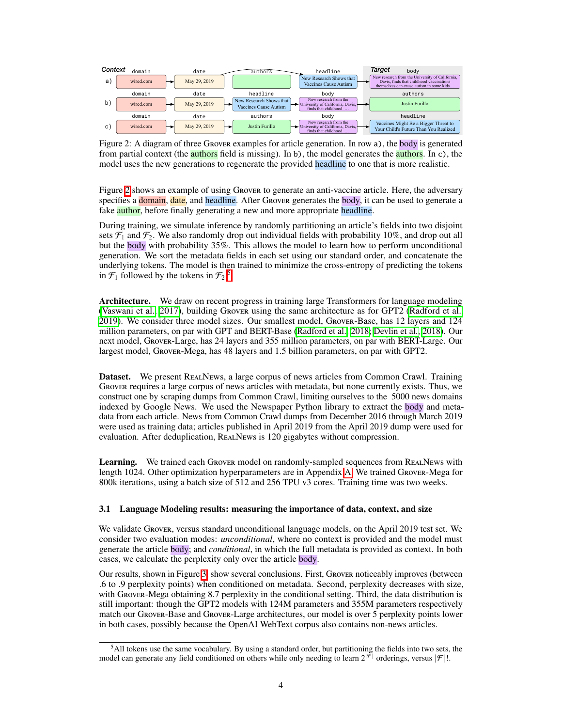<span id="page-3-0"></span>

Figure 2: A diagram of three Grover examples for article generation. In row a), the body is generated from partial context (the **authors** field is missing). In b), the model generates the **authors**. In c), the model uses the new generations to regenerate the provided headline to one that is more realistic.

Figure  $\frac{2}{2}$  shows an example of using Grover to generate an anti-vaccine article. Here, the adversary specifies a domain, date, and headline. After Grover generates the body, it can be used to generate a fake **author**, before finally generating a new and more appropriate headline.

During training, we simulate inference by randomly partitioning an article's fields into two disjoint sets  $\mathcal{F}_1$  and  $\mathcal{F}_2$ . We also randomly drop out individual fields with probability 10%, and drop out all but the body with probability 35%. This allows the model to learn how to perform unconditional generation. We sort the metadata fields in each set using our standard order, and concatenate the underlying tokens. The model is then trained to minimize the cross-entropy of predicting the tokens in  $\mathcal{F}_1$  followed by the tokens in  $\mathcal{F}_2$ .

Architecture. We draw on recent progress in training large Transformers for language modeling (Vaswani et al.,  $2017$ ), building Grover using the same architecture as for GPT2 (Radford et al. [2019\)](#page-10-2). We consider three model sizes. Our smallest model, Grover-Base, has 12 layers and 124 million parameters, on par with GPT and BERT-Base [\(Radford et al., 2018;](#page-10-1) [Devlin et al., 2018\)](#page-9-1). Our next model, Grover-Large, has 24 layers and 355 million parameters, on par with BERT-Large. Our largest model, Grover-Mega, has 48 layers and 1.5 billion parameters, on par with GPT2.

Dataset. We present RealNews, a large corpus of news articles from Common Crawl. Training Grover requires a large corpus of news articles with metadata, but none currently exists. Thus, we construct one by scraping dumps from Common Crawl, limiting ourselves to the 5000 news domains indexed by Google News. We used the Newspaper Python library to extract the body and metadata from each article. News from Common Crawl dumps from December 2016 through March 2019 were used as training data; articles published in April 2019 from the April 2019 dump were used for evaluation. After deduplication, RealNews is 120 gigabytes without compression.

**Learning.** We trained each Grover model on randomly-sampled sequences from REALNEWS with length 1024. Other optimization hyperparameters are in Appendix  $A$ . We trained Grover-Mega for 800k iterations, using a batch size of 512 and 256 TPU v3 cores. Training time was two weeks.

#### 3.1 Language Modeling results: measuring the importance of data, context, and size

We validate Grover, versus standard unconditional language models, on the April 2019 test set. We consider two evaluation modes: *unconditional*, where no context is provided and the model must generate the article body; and *conditional*, in which the full metadata is provided as context. In both cases, we calculate the perplexity only over the article body.

Our results, shown in Figure  $3$  show several conclusions. First, Grover noticeably improves (between .6 to .9 perplexity points) when conditioned on metadata. Second, perplexity decreases with size, with Grover-Mega obtaining 8.7 perplexity in the conditional setting. Third, the data distribution is still important: though the GPT2 models with 124M parameters and 355M parameters respectively match our Grover-Base and Grover-Large architectures, our model is over 5 perplexity points lower in both cases, possibly because the OpenAI WebText corpus also contains non-news articles.

<span id="page-3-1"></span><sup>5</sup>All tokens use the same vocabulary. By using a standard order, but partitioning the fields into two sets, the model can generate any field conditioned on others while only needing to learn  $2^{|\vec{\mathcal{F}}|}$  orderings, versus  $|\mathcal{F}|!$ .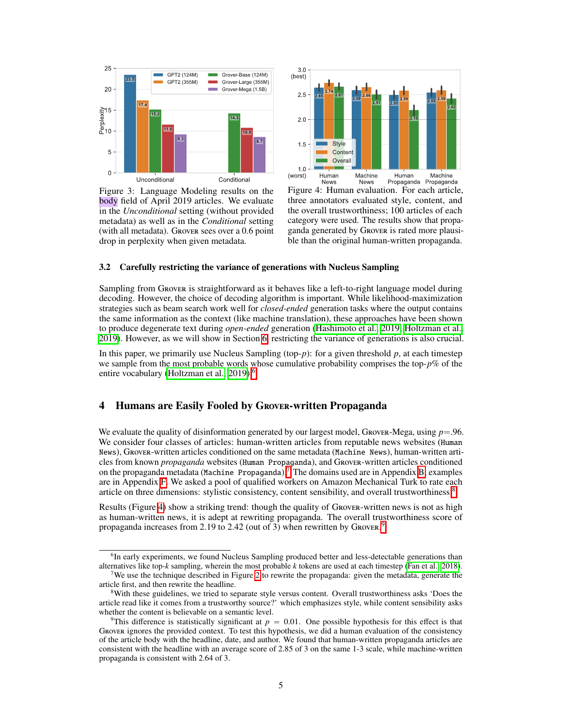<span id="page-4-0"></span>

Figure 3: Language Modeling results on the body field of April 2019 articles. We evaluate in the *Unconditional* setting (without provided metadata) as well as in the *Conditional* setting (with all metadata). Grover sees over a 0.6 point drop in perplexity when given metadata.



Figure 4: Human evaluation. For each article, three annotators evaluated style, content, and the overall trustworthiness; 100 articles of each category were used. The results show that propaganda generated by Grover is rated more plausible than the original human-written propaganda.

#### 3.2 Carefully restricting the variance of generations with Nucleus Sampling

Sampling from Grover is straightforward as it behaves like a left-to-right language model during decoding. However, the choice of decoding algorithm is important. While likelihood-maximization strategies such as beam search work well for *closed-ended* generation tasks where the output contains the same information as the context (like machine translation), these approaches have been shown to produce degenerate text during *open-ended* generation [\(Hashimoto et al., 2019;](#page-9-7) [Holtzman et al.,](#page-9-8) [2019\)](#page-9-8). However, as we will show in Section  $\overline{6}$ , restricting the variance of generations is also crucial.

In this paper, we primarily use Nucleus Sampling (top-*p*): for a given threshold *p*, at each timestep we sample from the most probable words whose cumulative probability comprises the top-*p*% of the entire vocabulary (Holtzman et al.,  $2019$ ).<sup>[6](#page-4-1)</sup>

## 4 Humans are Easily Fooled by Grover-written Propaganda

We evaluate the quality of disinformation generated by our largest model, GROVER-Mega, using  $p = .96$ . We consider four classes of articles: human-written articles from reputable news websites (Human News), Grover-written articles conditioned on the same metadata (Machine News), human-written articles from known *propaganda* websites (Human Propaganda), and Grover-written articles conditioned on the propaganda metadata (Machine Propaganda) $\sqrt{7}$  The domains used are in Appendix  $\frac{B}{B}$  examples are in Appendix  $\overline{F}$ . We asked a pool of qualified workers on Amazon Mechanical Turk to rate each article on three dimensions: stylistic consistency, content sensibility, and overall trustworthiness.<sup>[8](#page-4-3)</sup>

Results (Figure  $\overline{4}$ ) show a striking trend: though the quality of Grover-written news is not as high as human-written news, it is adept at rewriting propaganda. The overall trustworthiness score of propaganda increases from 2.1[9](#page-4-4) to 2.42 (out of 3) when rewritten by Grover.

<span id="page-4-1"></span><sup>&</sup>lt;sup>6</sup>In early experiments, we found Nucleus Sampling produced better and less-detectable generations than alternatives like top-*k* sampling, wherein the most probable *k* tokens are used at each timestep [\(Fan et al., 2018\)](#page-9-9).

<span id="page-4-2"></span><sup>&</sup>lt;sup>7</sup>We use the technique described in Figure  $2$  to rewrite the propaganda: given the metadata, generate the article first, and then rewrite the headline.

<span id="page-4-3"></span><sup>8</sup>With these guidelines, we tried to separate style versus content. Overall trustworthiness asks 'Does the article read like it comes from a trustworthy source?' which emphasizes style, while content sensibility asks whether the content is believable on a semantic level.

<span id="page-4-4"></span><sup>&</sup>lt;sup>9</sup>This difference is statistically significant at  $p = 0.01$ . One possible hypothesis for this effect is that Grover ignores the provided context. To test this hypothesis, we did a human evaluation of the consistency of the article body with the headline, date, and author. We found that human-written propaganda articles are consistent with the headline with an average score of 2.85 of 3 on the same 1-3 scale, while machine-written propaganda is consistent with 2.64 of 3.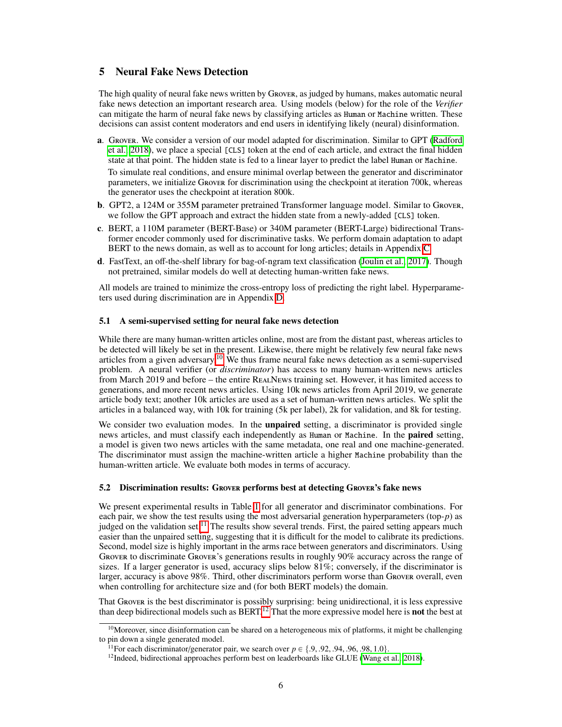# <span id="page-5-3"></span>5 Neural Fake News Detection

The high quality of neural fake news written by Grover, as judged by humans, makes automatic neural fake news detection an important research area. Using models (below) for the role of the *Verifier* can mitigate the harm of neural fake news by classifying articles as Human or Machine written. These decisions can assist content moderators and end users in identifying likely (neural) disinformation.

- a. Grover. We consider a version of our model adapted for discrimination. Similar to GPT [\(Radford](#page-10-1) et al.,  $[2018]$ , we place a special [CLS] token at the end of each article, and extract the final hidden state at that point. The hidden state is fed to a linear layer to predict the label Human or Machine. To simulate real conditions, and ensure minimal overlap between the generator and discriminator parameters, we initialize Grover for discrimination using the checkpoint at iteration 700k, whereas
- b. GPT2, a 124M or 355M parameter pretrained Transformer language model. Similar to Grover, we follow the GPT approach and extract the hidden state from a newly-added [CLS] token.
- c. BERT, a 110M parameter (BERT-Base) or 340M parameter (BERT-Large) bidirectional Transformer encoder commonly used for discriminative tasks. We perform domain adaptation to adapt BERT to the news domain, as well as to account for long articles; details in Appendix  $\overline{C}$ .
- **d.** FastText, an off-the-shelf library for bag-of-ngram text classification (Joulin et al.,  $[2017]$ ). Though not pretrained, similar models do well at detecting human-written fake news.

All models are trained to minimize the cross-entropy loss of predicting the right label. Hyperparameters used during discrimination are in Appendix  $\overline{D}$ .

#### 5.1 A semi-supervised setting for neural fake news detection

the generator uses the checkpoint at iteration 800k.

While there are many human-written articles online, most are from the distant past, whereas articles to be detected will likely be set in the present. Likewise, there might be relatively few neural fake news articles from a given adversary.<sup>[10](#page-5-0)</sup> We thus frame neural fake news detection as a semi-supervised problem. A neural verifier (or *discriminator*) has access to many human-written news articles from March 2019 and before – the entire RealNews training set. However, it has limited access to generations, and more recent news articles. Using 10k news articles from April 2019, we generate article body text; another 10k articles are used as a set of human-written news articles. We split the articles in a balanced way, with 10k for training (5k per label), 2k for validation, and 8k for testing.

We consider two evaluation modes. In the **unpaired** setting, a discriminator is provided single news articles, and must classify each independently as Human or Machine. In the paired setting, a model is given two news articles with the same metadata, one real and one machine-generated. The discriminator must assign the machine-written article a higher Machine probability than the human-written article. We evaluate both modes in terms of accuracy.

#### 5.2 Discrimination results: Grover performs best at detecting Grover's fake news

We present experimental results in Table  $\prod$  for all generator and discriminator combinations. For each pair, we show the test results using the most adversarial generation hyperparameters (top- $p$ ) as judged on the validation set.<sup> $\overline{11}$ </sup> The results show several trends. First, the paired setting appears much easier than the unpaired setting, suggesting that it is difficult for the model to calibrate its predictions. Second, model size is highly important in the arms race between generators and discriminators. Using Grover to discriminate Grover's generations results in roughly 90% accuracy across the range of sizes. If a larger generator is used, accuracy slips below 81%; conversely, if the discriminator is larger, accuracy is above 98%. Third, other discriminators perform worse than Grover overall, even when controlling for architecture size and (for both BERT models) the domain.

That Grover is the best discriminator is possibly surprising: being unidirectional, it is less expressive than deep bidirectional models such as  $BERT<sup>[12]</sup>$  That the more expressive model here is **not** the best at

<span id="page-5-0"></span><sup>&</sup>lt;sup>10</sup>Moreover, since disinformation can be shared on a heterogeneous mix of platforms, it might be challenging to pin down a single generated model.<br><sup>11</sup>For each discriminator/generator pair, we search over  $p \in \{.9, .92, .94, .96, .98, 1.0\}$ .

<span id="page-5-1"></span>

<span id="page-5-2"></span><sup>&</sup>lt;sup>12</sup>Indeed, bidirectional approaches perform best on leaderboards like GLUE [\(Wang et al., 2018\)](#page-11-6).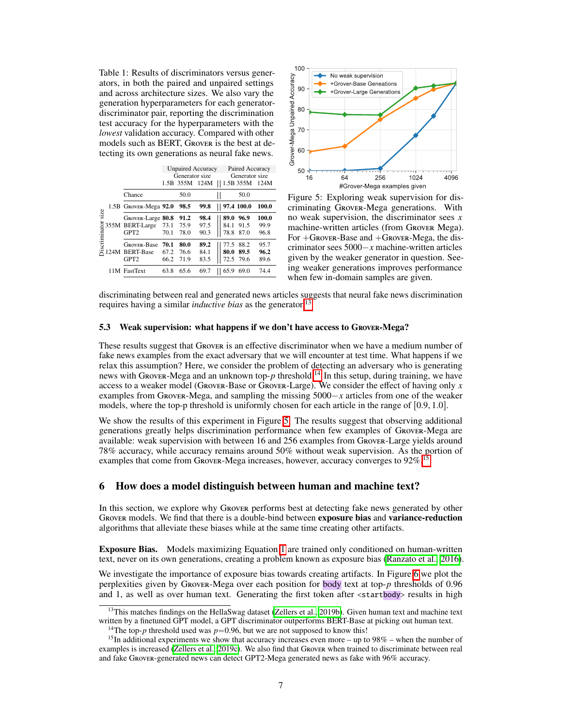<span id="page-6-0"></span>Table 1: Results of discriminators versus generators, in both the paired and unpaired settings and across architecture sizes. We also vary the generation hyperparameters for each generatordiscriminator pair, reporting the discrimination test accuracy for the hyperparameters with the *lowest* validation accuracy. Compared with other models such as BERT, Grover is the best at detecting its own generations as neural fake news.

|                              |  |                       | <b>Unpaired Accuracy</b> |                |      | Paired Accuracy |                |  |
|------------------------------|--|-----------------------|--------------------------|----------------|------|-----------------|----------------|--|
|                              |  |                       | Generator size           |                |      |                 | Generator size |  |
|                              |  |                       |                          | 1.5B 355M 124M |      | 1.5B 355M       | 124M           |  |
| size<br><b>Discriminator</b> |  | Chance                |                          | 50.0           |      | 50.0            |                |  |
|                              |  | 1.5B Grover-Mega 92.0 |                          | 98.5           | 99.8 | 97.4 100.0      | 100.0          |  |
|                              |  | GROVER-Large 80.8     |                          | 91.2           | 98.4 | 89.0<br>96.9    | 100.0          |  |
|                              |  | 355M BERT-Large       | 73.1                     | 75.9           | 97.5 | 91.5<br>84.1    | 99.9           |  |
|                              |  | GPT <sub>2</sub>      | 70.1                     | 78.0           | 90.3 | 78.8<br>87.0    | 96.8           |  |
|                              |  | <b>GROVER-Base</b>    | 70.1                     | 80.0           | 89.2 | 77.5<br>88.2    | 95.7           |  |
|                              |  | 124M BERT-Base        | 67.2                     | 76.6           | 84.1 | 89.5<br>80.0    | 96.2           |  |
|                              |  | GPT <sub>2</sub>      | 66.2                     | 71.9           | 83.5 | 72.5 79.6       | 89.6           |  |
|                              |  | 11M FastText          | 63.8                     | 65.6           | 69.7 | 65.9<br>69.0    | 74.4           |  |



Figure 5: Exploring weak supervision for discriminating Grover-Mega generations. With no weak supervision, the discriminator sees *x* machine-written articles (from Grover Mega). For  $+G$ ROVER-Base and  $+G$ ROVER-Mega, the discriminator sees  $5000 - x$  machine-written articles given by the weaker generator in question. Seeing weaker generations improves performance when few in-domain samples are given.

discriminating between real and generated news articles suggests that neural fake news discrimination requires having a similar *inductive bias* as the generator.<sup>[[13](#page-6-1)]</sup>

## 5.3 Weak supervision: what happens if we don't have access to Grover-Mega?

These results suggest that Grover is an effective discriminator when we have a medium number of fake news examples from the exact adversary that we will encounter at test time. What happens if we relax this assumption? Here, we consider the problem of detecting an adversary who is generating news with Grover-Mega and an unknown top- $p$  threshold.<sup>[[14](#page-6-2)]</sup> In this setup, during training, we have access to a weaker model (GROVER-Base or GROVER-Large). We consider the effect of having only  $x$ examples from Grover-Mega, and sampling the missing  $5000 - x$  articles from one of the weaker models, where the top-p threshold is uniformly chosen for each article in the range of  $[0.9, 1.0]$ .

We show the results of this experiment in Figure  $\overline{5}$ . The results suggest that observing additional generations greatly helps discrimination performance when few examples of Grover-Mega are available: weak supervision with between 16 and 256 examples from Grover-Large yields around 78% accuracy, while accuracy remains around 50% without weak supervision. As the portion of examples that come from Grover-Mega increases, however, accuracy converges to  $92\%$ <sup>[15](#page-6-3)</sup>

## 6 How does a model distinguish between human and machine text?

In this section, we explore why Grover performs best at detecting fake news generated by other GROVER models. We find that there is a double-bind between **exposure bias** and **variance-reduction** algorithms that alleviate these biases while at the same time creating other artifacts.

**Exposure Bias.** Models maximizing Equation  $\prod$  are trained only conditioned on human-written text, never on its own generations, creating a problem known as exposure bias [\(Ranzato et al., 2016\)](#page-10-11).

We investigate the importance of exposure bias towards creating artifacts. In Figure  $\overline{6}$  we plot the perplexities given by Grover-Mega over each position for body text at top-*p* thresholds of 0.96 and 1, as well as over human text. Generating the first token after <startbody> results in high

<span id="page-6-1"></span><sup>&</sup>lt;sup>13</sup>This matches findings on the HellaSwag dataset (Zellers et al.,  $2019b$ ). Given human text and machine text written by a finetuned GPT model, a GPT discriminator outperforms BERT-Base at picking out human text.

<span id="page-6-3"></span><span id="page-6-2"></span>

<sup>&</sup>lt;sup>14</sup>The top-*p* threshold used was  $p=0.96$ , but we are not supposed to know this!<br><sup>15</sup>In additional experiments we show that accuracy increases even more – up to 98% – when the number of examples is increased  $\sqrt{Z}$ ellers et al.,  $\sqrt{2019c}$ . We also find that Grover when trained to discriminate between real and fake Grover-generated news can detect GPT2-Mega generated news as fake with 96% accuracy.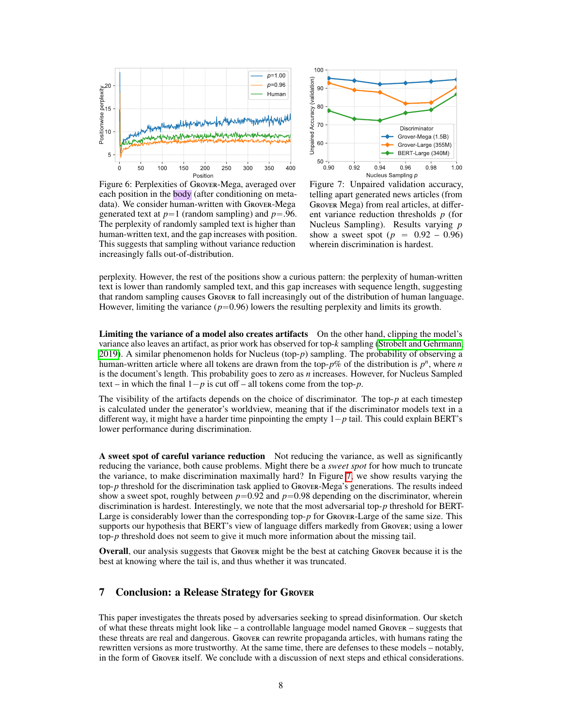<span id="page-7-0"></span>

Figure 6: Perplexities of Grover-Mega, averaged over each position in the **body** (after conditioning on metadata). We consider human-written with Grover-Mega generated text at  $p=1$  (random sampling) and  $p=.96$ . The perplexity of randomly sampled text is higher than human-written text, and the gap increases with position. This suggests that sampling without variance reduction increasingly falls out-of-distribution.



Figure 7: Unpaired validation accuracy, telling apart generated news articles (from GROVER Mega) from real articles, at different variance reduction thresholds *p* (for Nucleus Sampling). Results varying *p* show a sweet spot ( $p = 0.92 - 0.96$ ) wherein discrimination is hardest.

perplexity. However, the rest of the positions show a curious pattern: the perplexity of human-written text is lower than randomly sampled text, and this gap increases with sequence length, suggesting that random sampling causes Grover to fall increasingly out of the distribution of human language. However, limiting the variance  $(p=0.96)$  lowers the resulting perplexity and limits its growth.

Limiting the variance of a model also creates artifacts On the other hand, clipping the model's variance also leaves an artifact, as prior work has observed for top-*k* sampling [\(Strobelt and Gehrmann,](#page-10-12) [2019\)](#page-10-12). A similar phenomenon holds for Nucleus (top-*p*) sampling. The probability of observing a human-written article where all tokens are drawn from the top- $p$ % of the distribution is  $p^n$ , where *n* is the document's length. This probability goes to zero as *n* increases. However, for Nucleus Sampled text – in which the final  $1-p$  is cut of – all tokens come from the top-*p*.

The visibility of the artifacts depends on the choice of discriminator. The top-*p* at each timestep is calculated under the generator's worldview, meaning that if the discriminator models text in a different way, it might have a harder time pinpointing the empty  $1-p$  tail. This could explain BERT's lower performance during discrimination.

A sweet spot of careful variance reduction Not reducing the variance, as well as significantly reducing the variance, both cause problems. Might there be a *sweet spot* for how much to truncate the variance, to make discrimination maximally hard? In Figure  $\overline{7}$ , we show results varying the top-*p* threshold for the discrimination task applied to Grover-Mega's generations. The results indeed show a sweet spot, roughly between  $p=0.92$  and  $p=0.98$  depending on the discriminator, wherein discrimination is hardest. Interestingly, we note that the most adversarial top-*p* threshold for BERT-Large is considerably lower than the corresponding top-*p* for Grover-Large of the same size. This supports our hypothesis that BERT's view of language differs markedly from Grover; using a lower top-*p* threshold does not seem to give it much more information about the missing tail.

Overall, our analysis suggests that Grover might be the best at catching Grover because it is the best at knowing where the tail is, and thus whether it was truncated.

# 7 Conclusion: a Release Strategy for Grover

This paper investigates the threats posed by adversaries seeking to spread disinformation. Our sketch of what these threats might look like – a controllable language model named Grover – suggests that these threats are real and dangerous. Grover can rewrite propaganda articles, with humans rating the rewritten versions as more trustworthy. At the same time, there are defenses to these models – notably, in the form of Grover itself. We conclude with a discussion of next steps and ethical considerations.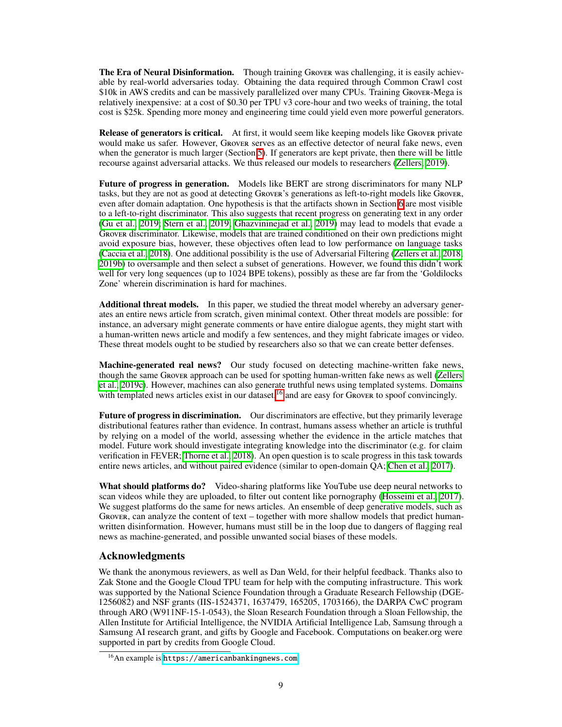The Era of Neural Disinformation. Though training Grover was challenging, it is easily achievable by real-world adversaries today. Obtaining the data required through Common Crawl cost \$10k in AWS credits and can be massively parallelized over many CPUs. Training Grover-Mega is relatively inexpensive: at a cost of \$0.30 per TPU v3 core-hour and two weeks of training, the total cost is \$25k. Spending more money and engineering time could yield even more powerful generators.

**Release of generators is critical.** At first, it would seem like keeping models like Grover private would make us safer. However, Grover serves as an effective detector of neural fake news, even when the generator is much larger (Section  $\overline{5}$ ). If generators are kept private, then there will be little recourse against adversarial attacks. We thus released our models to researchers [\(Zellers, 2019\)](#page-11-2).

Future of progress in generation. Models like BERT are strong discriminators for many NLP tasks, but they are not as good at detecting Grover's generations as left-to-right models like Grover, even after domain adaptation. One hypothesis is that the artifacts shown in Section  $\overline{6}$  are most visible to a left-to-right discriminator. This also suggests that recent progress on generating text in any order [\(Gu et al., 2019;](#page-9-11) [Stern et al., 2019;](#page-10-13) [Ghazvininejad et al., 2019\)](#page-9-12) may lead to models that evade a Grover discriminator. Likewise, models that are trained conditioned on their own predictions might avoid exposure bias, however, these objectives often lead to low performance on language tasks (Caccia et al.,  $[2018]$ ). One additional possibility is the use of Adversarial Filtering (Zellers et al.,  $[2018]$ ; [2019b\)](#page-11-7) to oversample and then select a subset of generations. However, we found this didn't work well for very long sequences (up to 1024 BPE tokens), possibly as these are far from the 'Goldilocks' Zone' wherein discrimination is hard for machines.

Additional threat models. In this paper, we studied the threat model whereby an adversary generates an entire news article from scratch, given minimal context. Other threat models are possible: for instance, an adversary might generate comments or have entire dialogue agents, they might start with a human-written news article and modify a few sentences, and they might fabricate images or video. These threat models ought to be studied by researchers also so that we can create better defenses.

Machine-generated real news? Our study focused on detecting machine-written fake news, though the same Grover approach can be used for spotting human-written fake news as well [\(Zellers](#page-11-8) [et al., 2019c\)](#page-11-8). However, machines can also generate truthful news using templated systems. Domains with templated news articles exist in our dataset, $16 \times 10^{16}$  $16 \times 10^{16}$  and are easy for Grover to spoof convincingly.

Future of progress in discrimination. Our discriminators are effective, but they primarily leverage distributional features rather than evidence. In contrast, humans assess whether an article is truthful by relying on a model of the world, assessing whether the evidence in the article matches that model. Future work should investigate integrating knowledge into the discriminator (e.g. for claim verification in FEVER; [Thorne et al., 2018\)](#page-11-10). An open question is to scale progress in this task towards entire news articles, and without paired evidence (similar to open-domain QA; [Chen et al., 2017\)](#page-9-14).

What should platforms do? Video-sharing platforms like YouTube use deep neural networks to scan videos while they are uploaded, to filter out content like pornography [\(Hosseini et al., 2017\)](#page-9-15). We suggest platforms do the same for news articles. An ensemble of deep generative models, such as GROVER, can analyze the content of text – together with more shallow models that predict humanwritten disinformation. However, humans must still be in the loop due to dangers of flagging real news as machine-generated, and possible unwanted social biases of these models.

#### Acknowledgments

We thank the anonymous reviewers, as well as Dan Weld, for their helpful feedback. Thanks also to Zak Stone and the Google Cloud TPU team for help with the computing infrastructure. This work was supported by the National Science Foundation through a Graduate Research Fellowship (DGE-1256082) and NSF grants (IIS-1524371, 1637479, 165205, 1703166), the DARPA CwC program through ARO (W911NF-15-1-0543), the Sloan Research Foundation through a Sloan Fellowship, the Allen Institute for Artificial Intelligence, the NVIDIA Artificial Intelligence Lab, Samsung through a Samsung AI research grant, and gifts by Google and Facebook. Computations on beaker.org were supported in part by credits from Google Cloud.

<span id="page-8-0"></span><sup>&</sup>lt;sup>16</sup>An example is <https://americanbankingnews.com>.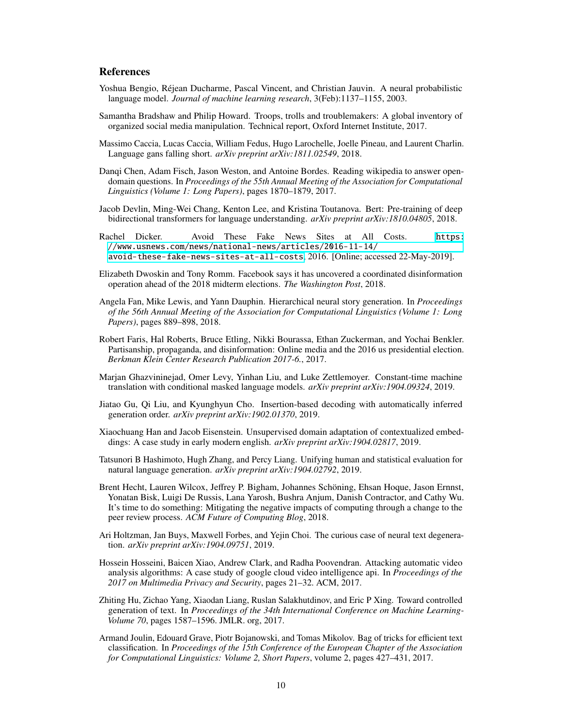# **References**

- <span id="page-9-6"></span>Yoshua Bengio, Réjean Ducharme, Pascal Vincent, and Christian Jauvin. A neural probabilistic language model. *Journal of machine learning research*, 3(Feb):1137–1155, 2003.
- <span id="page-9-3"></span>Samantha Bradshaw and Philip Howard. Troops, trolls and troublemakers: A global inventory of organized social media manipulation. Technical report, Oxford Internet Institute, 2017.
- <span id="page-9-13"></span>Massimo Caccia, Lucas Caccia, William Fedus, Hugo Larochelle, Joelle Pineau, and Laurent Charlin. Language gans falling short. *arXiv preprint arXiv:1811.02549*, 2018.
- <span id="page-9-14"></span>Danqi Chen, Adam Fisch, Jason Weston, and Antoine Bordes. Reading wikipedia to answer opendomain questions. In *Proceedings of the 55th Annual Meeting of the Association for Computational Linguistics (Volume 1: Long Papers)*, pages 1870–1879, 2017.
- <span id="page-9-1"></span>Jacob Devlin, Ming-Wei Chang, Kenton Lee, and Kristina Toutanova. Bert: Pre-training of deep bidirectional transformers for language understanding. *arXiv preprint arXiv:1810.04805*, 2018.
- Rachel Dicker. Avoid These Fake News Sites at All Costs. [https:](https://www.usnews.com/news/national-news/articles/2016-11-14/avoid-these-fake-news-sites-at-all-costs) [//www.usnews.com/news/national-news/articles/2016-11-14/](https://www.usnews.com/news/national-news/articles/2016-11-14/avoid-these-fake-news-sites-at-all-costs) [avoid-these-fake-news-sites-at-all-costs](https://www.usnews.com/news/national-news/articles/2016-11-14/avoid-these-fake-news-sites-at-all-costs), 2016. [Online; accessed 22-May-2019].
- <span id="page-9-4"></span>Elizabeth Dwoskin and Tony Romm. Facebook says it has uncovered a coordinated disinformation operation ahead of the 2018 midterm elections. *The Washington Post*, 2018.
- <span id="page-9-9"></span>Angela Fan, Mike Lewis, and Yann Dauphin. Hierarchical neural story generation. In *Proceedings of the 56th Annual Meeting of the Association for Computational Linguistics (Volume 1: Long Papers)*, pages 889–898, 2018.
- <span id="page-9-0"></span>Robert Faris, Hal Roberts, Bruce Etling, Nikki Bourassa, Ethan Zuckerman, and Yochai Benkler. Partisanship, propaganda, and disinformation: Online media and the 2016 us presidential election. *Berkman Klein Center Research Publication 2017-6.*, 2017.
- <span id="page-9-12"></span>Marjan Ghazvininejad, Omer Levy, Yinhan Liu, and Luke Zettlemoyer. Constant-time machine translation with conditional masked language models. *arXiv preprint arXiv:1904.09324*, 2019.
- <span id="page-9-11"></span>Jiatao Gu, Qi Liu, and Kyunghyun Cho. Insertion-based decoding with automatically inferred generation order. *arXiv preprint arXiv:1902.01370*, 2019.
- Xiaochuang Han and Jacob Eisenstein. Unsupervised domain adaptation of contextualized embeddings: A case study in early modern english. *arXiv preprint arXiv:1904.02817*, 2019.
- <span id="page-9-7"></span>Tatsunori B Hashimoto, Hugh Zhang, and Percy Liang. Unifying human and statistical evaluation for natural language generation. *arXiv preprint arXiv:1904.02792*, 2019.
- <span id="page-9-2"></span>Brent Hecht, Lauren Wilcox, Jeffrey P. Bigham, Johannes Schöning, Ehsan Hoque, Jason Ernnst, Yonatan Bisk, Luigi De Russis, Lana Yarosh, Bushra Anjum, Danish Contractor, and Cathy Wu. It's time to do something: Mitigating the negative impacts of computing through a change to the peer review process. *ACM Future of Computing Blog*, 2018.
- <span id="page-9-8"></span>Ari Holtzman, Jan Buys, Maxwell Forbes, and Yejin Choi. The curious case of neural text degeneration. *arXiv preprint arXiv:1904.09751*, 2019.
- <span id="page-9-15"></span>Hossein Hosseini, Baicen Xiao, Andrew Clark, and Radha Poovendran. Attacking automatic video analysis algorithms: A case study of google cloud video intelligence api. In *Proceedings of the 2017 on Multimedia Privacy and Security*, pages 21–32. ACM, 2017.
- <span id="page-9-5"></span>Zhiting Hu, Zichao Yang, Xiaodan Liang, Ruslan Salakhutdinov, and Eric P Xing. Toward controlled generation of text. In *Proceedings of the 34th International Conference on Machine Learning-Volume 70*, pages 1587–1596. JMLR. org, 2017.
- <span id="page-9-10"></span>Armand Joulin, Edouard Grave, Piotr Bojanowski, and Tomas Mikolov. Bag of tricks for efficient text classification. In *Proceedings of the 15th Conference of the European Chapter of the Association for Computational Linguistics: Volume 2, Short Papers*, volume 2, pages 427–431, 2017.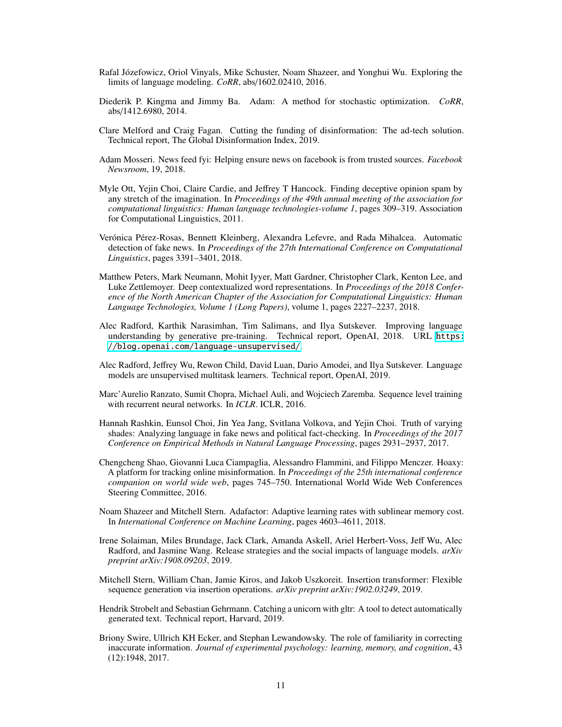- <span id="page-10-0"></span>Rafal Józefowicz, Oriol Vinyals, Mike Schuster, Noam Shazeer, and Yonghui Wu. Exploring the limits of language modeling. *CoRR*, abs/1602.02410, 2016.
- Diederik P. Kingma and Jimmy Ba. Adam: A method for stochastic optimization. *CoRR*, abs/1412.6980, 2014.
- <span id="page-10-5"></span>Clare Melford and Craig Fagan. Cutting the funding of disinformation: The ad-tech solution. Technical report, The Global Disinformation Index, 2019.
- <span id="page-10-6"></span>Adam Mosseri. News feed fyi: Helping ensure news on facebook is from trusted sources. *Facebook Newsroom*, 19, 2018.
- Myle Ott, Yejin Choi, Claire Cardie, and Jeffrey T Hancock. Finding deceptive opinion spam by any stretch of the imagination. In *Proceedings of the 49th annual meeting of the association for computational linguistics: Human language technologies-volume 1*, pages 309–319. Association for Computational Linguistics, 2011.
- <span id="page-10-9"></span>Verónica Pérez-Rosas, Bennett Kleinberg, Alexandra Lefevre, and Rada Mihalcea. Automatic detection of fake news. In *Proceedings of the 27th International Conference on Computational Linguistics*, pages 3391–3401, 2018.
- <span id="page-10-3"></span>Matthew Peters, Mark Neumann, Mohit Iyyer, Matt Gardner, Christopher Clark, Kenton Lee, and Luke Zettlemoyer. Deep contextualized word representations. In *Proceedings of the 2018 Conference of the North American Chapter of the Association for Computational Linguistics: Human Language Technologies, Volume 1 (Long Papers)*, volume 1, pages 2227–2237, 2018.
- <span id="page-10-1"></span>Alec Radford, Karthik Narasimhan, Tim Salimans, and Ilya Sutskever. Improving language understanding by generative pre-training. Technical report, OpenAI, 2018. URL [https:](https://blog.openai.com/language-unsupervised/) [//blog.openai.com/language-unsupervised/](https://blog.openai.com/language-unsupervised/).
- <span id="page-10-2"></span>Alec Radford, Jeffrey Wu, Rewon Child, David Luan, Dario Amodei, and Ilya Sutskever. Language models are unsupervised multitask learners. Technical report, OpenAI, 2019.
- <span id="page-10-11"></span>Marc'Aurelio Ranzato, Sumit Chopra, Michael Auli, and Wojciech Zaremba. Sequence level training with recurrent neural networks. In *ICLR*. ICLR, 2016.
- <span id="page-10-8"></span>Hannah Rashkin, Eunsol Choi, Jin Yea Jang, Svitlana Volkova, and Yejin Choi. Truth of varying shades: Analyzing language in fake news and political fact-checking. In *Proceedings of the 2017 Conference on Empirical Methods in Natural Language Processing*, pages 2931–2937, 2017.
- <span id="page-10-7"></span>Chengcheng Shao, Giovanni Luca Ciampaglia, Alessandro Flammini, and Filippo Menczer. Hoaxy: A platform for tracking online misinformation. In *Proceedings of the 25th international conference companion on world wide web*, pages 745–750. International World Wide Web Conferences Steering Committee, 2016.
- Noam Shazeer and Mitchell Stern. Adafactor: Adaptive learning rates with sublinear memory cost. In *International Conference on Machine Learning*, pages 4603–4611, 2018.
- <span id="page-10-4"></span>Irene Solaiman, Miles Brundage, Jack Clark, Amanda Askell, Ariel Herbert-Voss, Jeff Wu, Alec Radford, and Jasmine Wang. Release strategies and the social impacts of language models. *arXiv preprint arXiv:1908.09203*, 2019.
- <span id="page-10-13"></span>Mitchell Stern, William Chan, Jamie Kiros, and Jakob Uszkoreit. Insertion transformer: Flexible sequence generation via insertion operations. *arXiv preprint arXiv:1902.03249*, 2019.
- <span id="page-10-12"></span>Hendrik Strobelt and Sebastian Gehrmann. Catching a unicorn with gltr: A tool to detect automatically generated text. Technical report, Harvard, 2019.
- <span id="page-10-10"></span>Briony Swire, Ullrich KH Ecker, and Stephan Lewandowsky. The role of familiarity in correcting inaccurate information. *Journal of experimental psychology: learning, memory, and cognition*, 43 (12):1948, 2017.